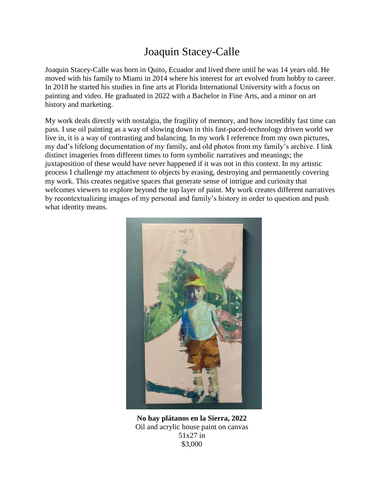## Joaquin Stacey-Calle

Joaquin Stacey-Calle was born in Quito, Ecuador and lived there until he was 14 years old. He moved with his family to Miami in 2014 where his interest for art evolved from hobby to career. In 2018 he started his studies in fine arts at Florida International University with a focus on painting and video. He graduated in 2022 with a Bachelor in Fine Arts, and a minor on art history and marketing.

My work deals directly with nostalgia, the fragility of memory, and how incredibly fast time can pass. I use oil painting as a way of slowing down in this fast-paced-technology driven world we live in, it is a way of contrasting and balancing. In my work I reference from my own pictures, my dad's lifelong documentation of my family, and old photos from my family's archive. I link distinct imageries from different times to form symbolic narratives and meanings; the juxtaposition of these would have never happened if it was not in this context. In my artistic process I challenge my attachment to objects by erasing, destroying and permanently covering my work. This creates negative spaces that generate sense of intrigue and curiosity that welcomes viewers to explore beyond the top layer of paint. My work creates different narratives by recontextualizing images of my personal and family's history in order to question and push what identity means.



**No hay plátanos en la Sierra, 2022** Oil and acrylic house paint on canvas 51x27 in \$3,000